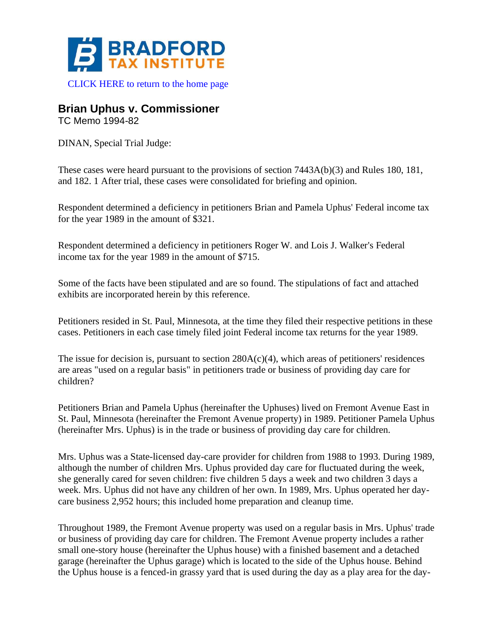

[CLICK HERE to return to the home page](https://www.bradfordtaxinstitute.com)

## **Brian Uphus v. Commissioner**

TC Memo 1994-82

DINAN, Special Trial Judge:

These cases were heard pursuant to the provisions of section 7443A(b)(3) and Rules 180, 181, and 182. 1 After trial, these cases were consolidated for briefing and opinion.

Respondent determined a deficiency in petitioners Brian and Pamela Uphus' Federal income tax for the year 1989 in the amount of \$321.

Respondent determined a deficiency in petitioners Roger W. and Lois J. Walker's Federal income tax for the year 1989 in the amount of \$715.

Some of the facts have been stipulated and are so found. The stipulations of fact and attached exhibits are incorporated herein by this reference.

Petitioners resided in St. Paul, Minnesota, at the time they filed their respective petitions in these cases. Petitioners in each case timely filed joint Federal income tax returns for the year 1989.

The issue for decision is, pursuant to section  $280A(c)(4)$ , which areas of petitioners' residences are areas "used on a regular basis" in petitioners trade or business of providing day care for children?

Petitioners Brian and Pamela Uphus (hereinafter the Uphuses) lived on Fremont Avenue East in St. Paul, Minnesota (hereinafter the Fremont Avenue property) in 1989. Petitioner Pamela Uphus (hereinafter Mrs. Uphus) is in the trade or business of providing day care for children.

Mrs. Uphus was a State-licensed day-care provider for children from 1988 to 1993. During 1989, although the number of children Mrs. Uphus provided day care for fluctuated during the week, she generally cared for seven children: five children 5 days a week and two children 3 days a week. Mrs. Uphus did not have any children of her own. In 1989, Mrs. Uphus operated her daycare business 2,952 hours; this included home preparation and cleanup time.

Throughout 1989, the Fremont Avenue property was used on a regular basis in Mrs. Uphus' trade or business of providing day care for children. The Fremont Avenue property includes a rather small one-story house (hereinafter the Uphus house) with a finished basement and a detached garage (hereinafter the Uphus garage) which is located to the side of the Uphus house. Behind the Uphus house is a fenced-in grassy yard that is used during the day as a play area for the day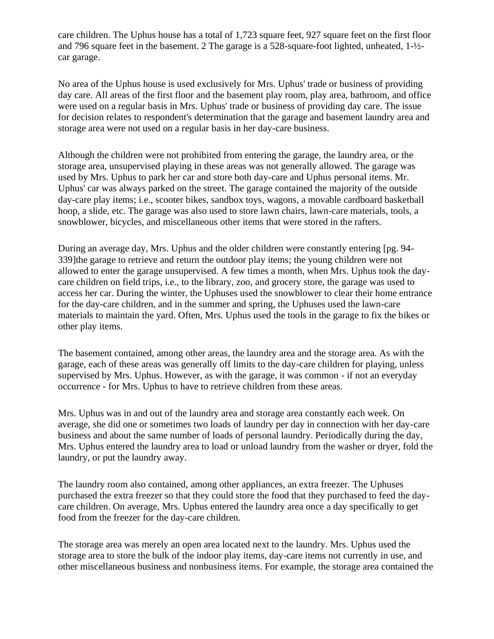care children. The Uphus house has a total of 1,723 square feet, 927 square feet on the first floor and 796 square feet in the basement. 2 The garage is a 528-square-foot lighted, unheated, 1-½ car garage.

No area of the Uphus house is used exclusively for Mrs. Uphus' trade or business of providing day care. All areas of the first floor and the basement play room, play area, bathroom, and office were used on a regular basis in Mrs. Uphus' trade or business of providing day care. The issue for decision relates to respondent's determination that the garage and basement laundry area and storage area were not used on a regular basis in her day-care business.

Although the children were not prohibited from entering the garage, the laundry area, or the storage area, unsupervised playing in these areas was not generally allowed. The garage was used by Mrs. Uphus to park her car and store both day-care and Uphus personal items. Mr. Uphus' car was always parked on the street. The garage contained the majority of the outside day-care play items; i.e., scooter bikes, sandbox toys, wagons, a movable cardboard basketball hoop, a slide, etc. The garage was also used to store lawn chairs, lawn-care materials, tools, a snowblower, bicycles, and miscellaneous other items that were stored in the rafters.

During an average day, Mrs. Uphus and the older children were constantly entering [pg. 94- 339]the garage to retrieve and return the outdoor play items; the young children were not allowed to enter the garage unsupervised. A few times a month, when Mrs. Uphus took the daycare children on field trips, i.e., to the library, zoo, and grocery store, the garage was used to access her car. During the winter, the Uphuses used the snowblower to clear their home entrance for the day-care children, and in the summer and spring, the Uphuses used the lawn-care materials to maintain the yard. Often, Mrs. Uphus used the tools in the garage to fix the bikes or other play items.

The basement contained, among other areas, the laundry area and the storage area. As with the garage, each of these areas was generally off limits to the day-care children for playing, unless supervised by Mrs. Uphus. However, as with the garage, it was common - if not an everyday occurrence - for Mrs. Uphus to have to retrieve children from these areas.

Mrs. Uphus was in and out of the laundry area and storage area constantly each week. On average, she did one or sometimes two loads of laundry per day in connection with her day-care business and about the same number of loads of personal laundry. Periodically during the day, Mrs. Uphus entered the laundry area to load or unload laundry from the washer or dryer, fold the laundry, or put the laundry away.

The laundry room also contained, among other appliances, an extra freezer. The Uphuses purchased the extra freezer so that they could store the food that they purchased to feed the daycare children. On average, Mrs. Uphus entered the laundry area once a day specifically to get food from the freezer for the day-care children.

The storage area was merely an open area located next to the laundry. Mrs. Uphus used the storage area to store the bulk of the indoor play items, day-care items not currently in use, and other miscellaneous business and nonbusiness items. For example, the storage area contained the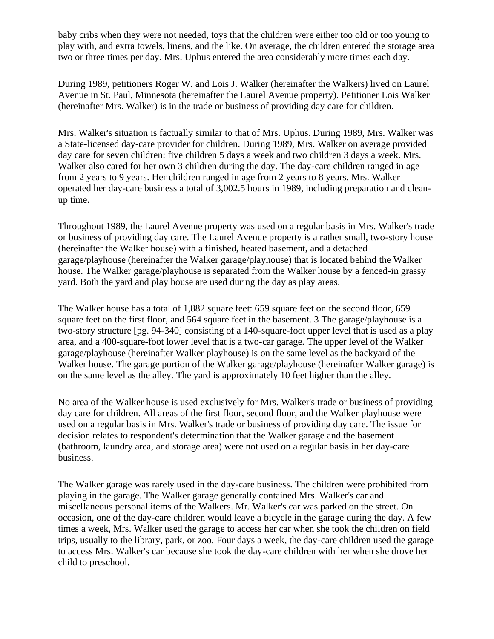baby cribs when they were not needed, toys that the children were either too old or too young to play with, and extra towels, linens, and the like. On average, the children entered the storage area two or three times per day. Mrs. Uphus entered the area considerably more times each day.

During 1989, petitioners Roger W. and Lois J. Walker (hereinafter the Walkers) lived on Laurel Avenue in St. Paul, Minnesota (hereinafter the Laurel Avenue property). Petitioner Lois Walker (hereinafter Mrs. Walker) is in the trade or business of providing day care for children.

Mrs. Walker's situation is factually similar to that of Mrs. Uphus. During 1989, Mrs. Walker was a State-licensed day-care provider for children. During 1989, Mrs. Walker on average provided day care for seven children: five children 5 days a week and two children 3 days a week. Mrs. Walker also cared for her own 3 children during the day. The day-care children ranged in age from 2 years to 9 years. Her children ranged in age from 2 years to 8 years. Mrs. Walker operated her day-care business a total of 3,002.5 hours in 1989, including preparation and cleanup time.

Throughout 1989, the Laurel Avenue property was used on a regular basis in Mrs. Walker's trade or business of providing day care. The Laurel Avenue property is a rather small, two-story house (hereinafter the Walker house) with a finished, heated basement, and a detached garage/playhouse (hereinafter the Walker garage/playhouse) that is located behind the Walker house. The Walker garage/playhouse is separated from the Walker house by a fenced-in grassy yard. Both the yard and play house are used during the day as play areas.

The Walker house has a total of 1,882 square feet: 659 square feet on the second floor, 659 square feet on the first floor, and 564 square feet in the basement. 3 The garage/playhouse is a two-story structure [pg. 94-340] consisting of a 140-square-foot upper level that is used as a play area, and a 400-square-foot lower level that is a two-car garage. The upper level of the Walker garage/playhouse (hereinafter Walker playhouse) is on the same level as the backyard of the Walker house. The garage portion of the Walker garage/playhouse (hereinafter Walker garage) is on the same level as the alley. The yard is approximately 10 feet higher than the alley.

No area of the Walker house is used exclusively for Mrs. Walker's trade or business of providing day care for children. All areas of the first floor, second floor, and the Walker playhouse were used on a regular basis in Mrs. Walker's trade or business of providing day care. The issue for decision relates to respondent's determination that the Walker garage and the basement (bathroom, laundry area, and storage area) were not used on a regular basis in her day-care business.

The Walker garage was rarely used in the day-care business. The children were prohibited from playing in the garage. The Walker garage generally contained Mrs. Walker's car and miscellaneous personal items of the Walkers. Mr. Walker's car was parked on the street. On occasion, one of the day-care children would leave a bicycle in the garage during the day. A few times a week, Mrs. Walker used the garage to access her car when she took the children on field trips, usually to the library, park, or zoo. Four days a week, the day-care children used the garage to access Mrs. Walker's car because she took the day-care children with her when she drove her child to preschool.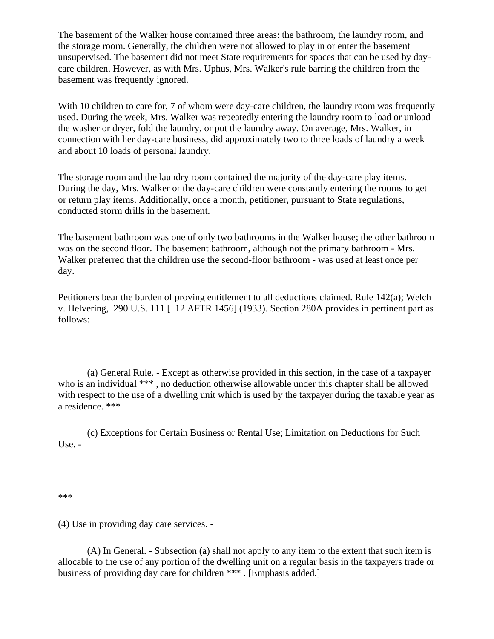The basement of the Walker house contained three areas: the bathroom, the laundry room, and the storage room. Generally, the children were not allowed to play in or enter the basement unsupervised. The basement did not meet State requirements for spaces that can be used by daycare children. However, as with Mrs. Uphus, Mrs. Walker's rule barring the children from the basement was frequently ignored.

With 10 children to care for, 7 of whom were day-care children, the laundry room was frequently used. During the week, Mrs. Walker was repeatedly entering the laundry room to load or unload the washer or dryer, fold the laundry, or put the laundry away. On average, Mrs. Walker, in connection with her day-care business, did approximately two to three loads of laundry a week and about 10 loads of personal laundry.

The storage room and the laundry room contained the majority of the day-care play items. During the day, Mrs. Walker or the day-care children were constantly entering the rooms to get or return play items. Additionally, once a month, petitioner, pursuant to State regulations, conducted storm drills in the basement.

The basement bathroom was one of only two bathrooms in the Walker house; the other bathroom was on the second floor. The basement bathroom, although not the primary bathroom - Mrs. Walker preferred that the children use the second-floor bathroom - was used at least once per day.

Petitioners bear the burden of proving entitlement to all deductions claimed. Rule 142(a); Welch v. Helvering, 290 U.S. 111 [ 12 AFTR 1456] (1933). Section 280A provides in pertinent part as follows:

(a) General Rule. - Except as otherwise provided in this section, in the case of a taxpayer who is an individual \*\*\*, no deduction otherwise allowable under this chapter shall be allowed with respect to the use of a dwelling unit which is used by the taxpayer during the taxable year as a residence. \*\*\*

(c) Exceptions for Certain Business or Rental Use; Limitation on Deductions for Such Use. -

\*\*\*

(4) Use in providing day care services. -

(A) In General. - Subsection (a) shall not apply to any item to the extent that such item is allocable to the use of any portion of the dwelling unit on a regular basis in the taxpayers trade or business of providing day care for children \*\*\* . [Emphasis added.]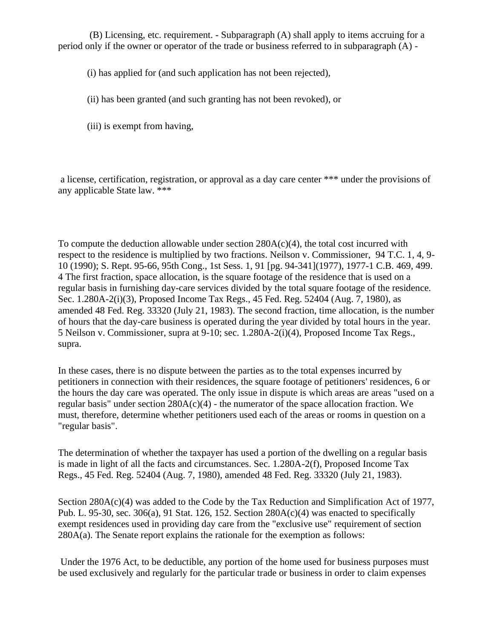(B) Licensing, etc. requirement. - Subparagraph (A) shall apply to items accruing for a period only if the owner or operator of the trade or business referred to in subparagraph (A) -

(i) has applied for (and such application has not been rejected),

(ii) has been granted (and such granting has not been revoked), or

(iii) is exempt from having,

a license, certification, registration, or approval as a day care center \*\*\* under the provisions of any applicable State law. \*\*\*

To compute the deduction allowable under section  $280A(c)(4)$ , the total cost incurred with respect to the residence is multiplied by two fractions. Neilson v. Commissioner, 94 T.C. 1, 4, 9- 10 (1990); S. Rept. 95-66, 95th Cong., 1st Sess. 1, 91 [pg. 94-341](1977), 1977-1 C.B. 469, 499. 4 The first fraction, space allocation, is the square footage of the residence that is used on a regular basis in furnishing day-care services divided by the total square footage of the residence. Sec. 1.280A-2(i)(3), Proposed Income Tax Regs., 45 Fed. Reg. 52404 (Aug. 7, 1980), as amended 48 Fed. Reg. 33320 (July 21, 1983). The second fraction, time allocation, is the number of hours that the day-care business is operated during the year divided by total hours in the year. 5 Neilson v. Commissioner, supra at 9-10; sec. 1.280A-2(i)(4), Proposed Income Tax Regs., supra.

In these cases, there is no dispute between the parties as to the total expenses incurred by petitioners in connection with their residences, the square footage of petitioners' residences, 6 or the hours the day care was operated. The only issue in dispute is which areas are areas "used on a regular basis" under section  $280A(c)(4)$  - the numerator of the space allocation fraction. We must, therefore, determine whether petitioners used each of the areas or rooms in question on a "regular basis".

The determination of whether the taxpayer has used a portion of the dwelling on a regular basis is made in light of all the facts and circumstances. Sec. 1.280A-2(f), Proposed Income Tax Regs., 45 Fed. Reg. 52404 (Aug. 7, 1980), amended 48 Fed. Reg. 33320 (July 21, 1983).

Section 280A(c)(4) was added to the Code by the Tax Reduction and Simplification Act of 1977, Pub. L. 95-30, sec. 306(a), 91 Stat. 126, 152. Section 280A(c)(4) was enacted to specifically exempt residences used in providing day care from the "exclusive use" requirement of section 280A(a). The Senate report explains the rationale for the exemption as follows:

Under the 1976 Act, to be deductible, any portion of the home used for business purposes must be used exclusively and regularly for the particular trade or business in order to claim expenses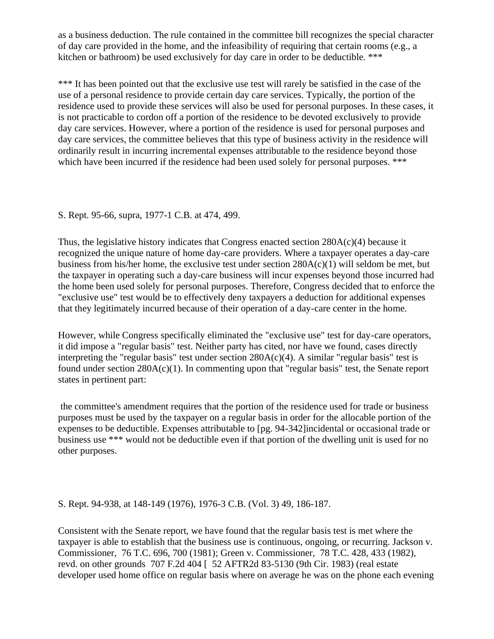as a business deduction. The rule contained in the committee bill recognizes the special character of day care provided in the home, and the infeasibility of requiring that certain rooms (e.g., a kitchen or bathroom) be used exclusively for day care in order to be deductible. \*\*\*

\*\*\* It has been pointed out that the exclusive use test will rarely be satisfied in the case of the use of a personal residence to provide certain day care services. Typically, the portion of the residence used to provide these services will also be used for personal purposes. In these cases, it is not practicable to cordon off a portion of the residence to be devoted exclusively to provide day care services. However, where a portion of the residence is used for personal purposes and day care services, the committee believes that this type of business activity in the residence will ordinarily result in incurring incremental expenses attributable to the residence beyond those which have been incurred if the residence had been used solely for personal purposes. \*\*\*

## S. Rept. 95-66, supra, 1977-1 C.B. at 474, 499.

Thus, the legislative history indicates that Congress enacted section  $280A(c)(4)$  because it recognized the unique nature of home day-care providers. Where a taxpayer operates a day-care business from his/her home, the exclusive test under section 280A(c)(1) will seldom be met, but the taxpayer in operating such a day-care business will incur expenses beyond those incurred had the home been used solely for personal purposes. Therefore, Congress decided that to enforce the "exclusive use" test would be to effectively deny taxpayers a deduction for additional expenses that they legitimately incurred because of their operation of a day-care center in the home.

However, while Congress specifically eliminated the "exclusive use" test for day-care operators, it did impose a "regular basis" test. Neither party has cited, nor have we found, cases directly interpreting the "regular basis" test under section 280A(c)(4). A similar "regular basis" test is found under section 280A(c)(1). In commenting upon that "regular basis" test, the Senate report states in pertinent part:

the committee's amendment requires that the portion of the residence used for trade or business purposes must be used by the taxpayer on a regular basis in order for the allocable portion of the expenses to be deductible. Expenses attributable to [pg. 94-342]incidental or occasional trade or business use \*\*\* would not be deductible even if that portion of the dwelling unit is used for no other purposes.

## S. Rept. 94-938, at 148-149 (1976), 1976-3 C.B. (Vol. 3) 49, 186-187.

Consistent with the Senate report, we have found that the regular basis test is met where the taxpayer is able to establish that the business use is continuous, ongoing, or recurring. Jackson v. Commissioner, 76 T.C. 696, 700 (1981); Green v. Commissioner, 78 T.C. 428, 433 (1982), revd. on other grounds 707 F.2d 404 [ 52 AFTR2d 83-5130 (9th Cir. 1983) (real estate developer used home office on regular basis where on average he was on the phone each evening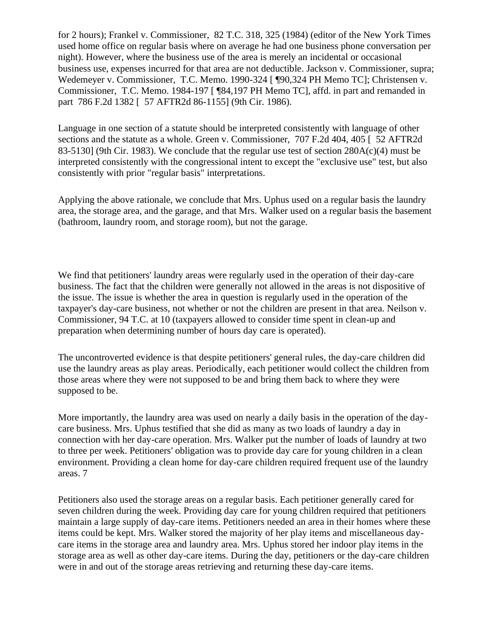for 2 hours); Frankel v. Commissioner, 82 T.C. 318, 325 (1984) (editor of the New York Times used home office on regular basis where on average he had one business phone conversation per night). However, where the business use of the area is merely an incidental or occasional business use, expenses incurred for that area are not deductible. Jackson v. Commissioner, supra; Wedemeyer v. Commissioner, T.C. Memo. 1990-324 [ ¶90,324 PH Memo TC]; Christensen v. Commissioner, T.C. Memo. 1984-197 [ ¶84,197 PH Memo TC], affd. in part and remanded in part 786 F.2d 1382 [ 57 AFTR2d 86-1155] (9th Cir. 1986).

Language in one section of a statute should be interpreted consistently with language of other sections and the statute as a whole. Green v. Commissioner, 707 F.2d 404, 405 [ 52 AFTR2d 83-5130] (9th Cir. 1983). We conclude that the regular use test of section  $280A(c)(4)$  must be interpreted consistently with the congressional intent to except the "exclusive use" test, but also consistently with prior "regular basis" interpretations.

Applying the above rationale, we conclude that Mrs. Uphus used on a regular basis the laundry area, the storage area, and the garage, and that Mrs. Walker used on a regular basis the basement (bathroom, laundry room, and storage room), but not the garage.

We find that petitioners' laundry areas were regularly used in the operation of their day-care business. The fact that the children were generally not allowed in the areas is not dispositive of the issue. The issue is whether the area in question is regularly used in the operation of the taxpayer's day-care business, not whether or not the children are present in that area. Neilson v. Commissioner, 94 T.C. at 10 (taxpayers allowed to consider time spent in clean-up and preparation when determining number of hours day care is operated).

The uncontroverted evidence is that despite petitioners' general rules, the day-care children did use the laundry areas as play areas. Periodically, each petitioner would collect the children from those areas where they were not supposed to be and bring them back to where they were supposed to be.

More importantly, the laundry area was used on nearly a daily basis in the operation of the daycare business. Mrs. Uphus testified that she did as many as two loads of laundry a day in connection with her day-care operation. Mrs. Walker put the number of loads of laundry at two to three per week. Petitioners' obligation was to provide day care for young children in a clean environment. Providing a clean home for day-care children required frequent use of the laundry areas. 7

Petitioners also used the storage areas on a regular basis. Each petitioner generally cared for seven children during the week. Providing day care for young children required that petitioners maintain a large supply of day-care items. Petitioners needed an area in their homes where these items could be kept. Mrs. Walker stored the majority of her play items and miscellaneous daycare items in the storage area and laundry area. Mrs. Uphus stored her indoor play items in the storage area as well as other day-care items. During the day, petitioners or the day-care children were in and out of the storage areas retrieving and returning these day-care items.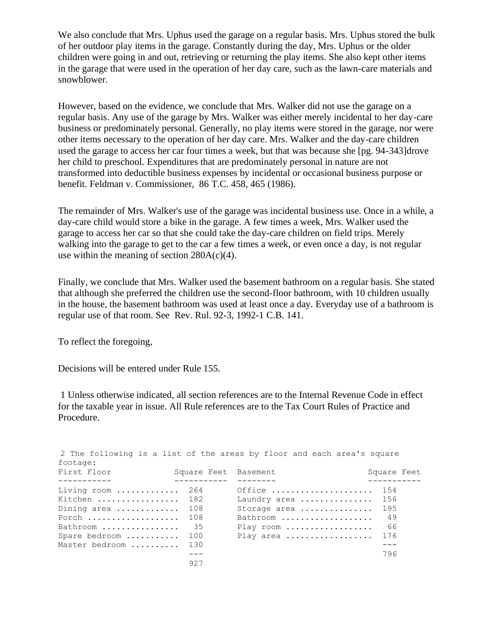We also conclude that Mrs. Uphus used the garage on a regular basis. Mrs. Uphus stored the bulk of her outdoor play items in the garage. Constantly during the day, Mrs. Uphus or the older children were going in and out, retrieving or returning the play items. She also kept other items in the garage that were used in the operation of her day care, such as the lawn-care materials and snowblower.

However, based on the evidence, we conclude that Mrs. Walker did not use the garage on a regular basis. Any use of the garage by Mrs. Walker was either merely incidental to her day-care business or predominately personal. Generally, no play items were stored in the garage, nor were other items necessary to the operation of her day care. Mrs. Walker and the day-care children used the garage to access her car four times a week, but that was because she [pg. 94-343]drove her child to preschool. Expenditures that are predominately personal in nature are not transformed into deductible business expenses by incidental or occasional business purpose or benefit. Feldman v. Commissioner, 86 T.C. 458, 465 (1986).

The remainder of Mrs. Walker's use of the garage was incidental business use. Once in a while, a day-care child would store a bike in the garage. A few times a week, Mrs. Walker used the garage to access her car so that she could take the day-care children on field trips. Merely walking into the garage to get to the car a few times a week, or even once a day, is not regular use within the meaning of section  $280A(c)(4)$ .

Finally, we conclude that Mrs. Walker used the basement bathroom on a regular basis. She stated that although she preferred the children use the second-floor bathroom, with 10 children usually in the house, the basement bathroom was used at least once a day. Everyday use of a bathroom is regular use of that room. See Rev. Rul. 92-3, 1992-1 C.B. 141.

To reflect the foregoing,

Decisions will be entered under Rule 155.

1 Unless otherwise indicated, all section references are to the Internal Revenue Code in effect for the taxable year in issue. All Rule references are to the Tax Court Rules of Practice and Procedure.

| footage:                                                                                           |                                         | 2 The following is a list of the areas by floor and each area's square       |                                               |
|----------------------------------------------------------------------------------------------------|-----------------------------------------|------------------------------------------------------------------------------|-----------------------------------------------|
| First Floor                                                                                        | Square Feet Basement                    |                                                                              | Square Feet                                   |
| Living room<br>Kitchen  182<br>Dining area<br>Porch<br>Bathroom<br>Spare bedroom<br>Master bedroom | 264<br>108<br>108<br>- 35<br>100<br>130 | Office<br>Laundry area<br>Storage area<br>Bathroom<br>Play room<br>Play area | 154<br>156<br>195<br>49<br>- 66<br>176<br>796 |
|                                                                                                    | 927                                     |                                                                              |                                               |